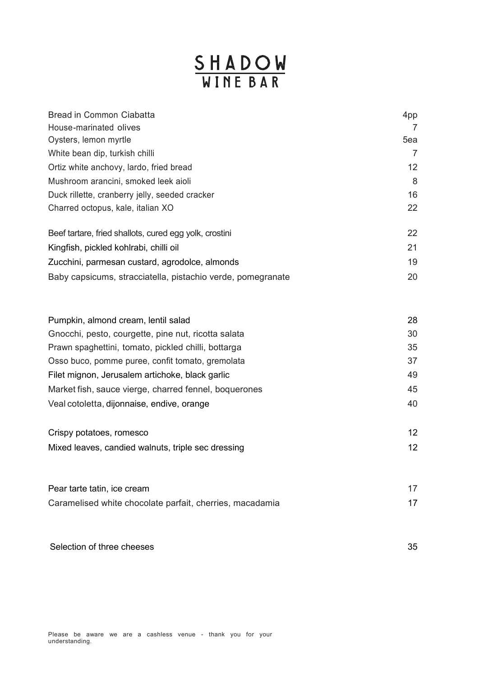## **SHADOW**<br>WINE BAR

| <b>Bread in Common Ciabatta</b>                             | 4pp |
|-------------------------------------------------------------|-----|
| House-marinated olives                                      | 7   |
| Oysters, lemon myrtle                                       | 5ea |
| White bean dip, turkish chilli                              | 7   |
| Ortiz white anchovy, lardo, fried bread                     | 12  |
| Mushroom arancini, smoked leek aioli                        | 8   |
| Duck rillette, cranberry jelly, seeded cracker              | 16  |
| Charred octopus, kale, italian XO                           | 22  |
| Beef tartare, fried shallots, cured egg yolk, crostini      | 22  |
| Kingfish, pickled kohlrabi, chilli oil                      | 21  |
| Zucchini, parmesan custard, agrodolce, almonds              | 19  |
| Baby capsicums, stracciatella, pistachio verde, pomegranate | 20  |

| Pumpkin, almond cream, lentil salad                   | 28 |
|-------------------------------------------------------|----|
| Gnocchi, pesto, courgette, pine nut, ricotta salata   | 30 |
| Prawn spaghettini, tomato, pickled chilli, bottarga   | 35 |
| Osso buco, pomme puree, confit tomato, gremolata      | 37 |
| Filet mignon, Jerusalem artichoke, black garlic       | 49 |
| Market fish, sauce vierge, charred fennel, boquerones | 45 |
| Veal cotoletta, dijonnaise, endive, orange            | 40 |
|                                                       |    |

| Crispy potatoes, romesco                           |  |
|----------------------------------------------------|--|
| Mixed leaves, candied walnuts, triple sec dressing |  |

| Pear tarte tatin, ice cream                              |  |
|----------------------------------------------------------|--|
| Caramelised white chocolate parfait, cherries, macadamia |  |